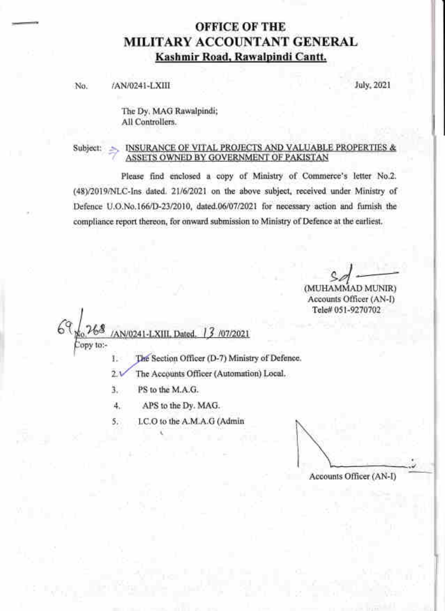# **OFFICE OF THE** MILITARY ACCOUNTANT GENERAL Kashmir Road, Rawalpindi Cantt.

/AN/0241-LXIII No.

July, 2021

The Dy. MAG Rawalpindi; All Controllers.

Please find enclosed a copy of Ministry of Commerce's letter No.2. (48)/2019/NLC-Ins dated. 21/6/2021 on the above subject, received under Ministry of Defence U.O.No.166/D-23/2010, dated.06/07/2021 for necessary action and furnish the compliance report thereon, for onward submission to Ministry of Defence at the earliest.

(MUHAMMAD MUNIR) Accounts Officer (AN-I) Tele# 051-9270702

AN/0241-LXIII, Dated. 3 /07/2021

lopy to:-

- The Section Officer (D-7) Ministry of Defence. Ŀ.
- $21$ The Accounts Officer (Automation) Local.
- ä., PS to the M.A.G.
- 4. APS to the Dy. MAG.
- LC.O to the A.M.A.G (Admin  $5.$

Accounts Officer (AN-I)

INSURANCE OF VITAL PROJECTS AND VALUABLE PROPERTIES & Subject: ASSETS OWNED BY GOVERNMENT OF PAKISTAN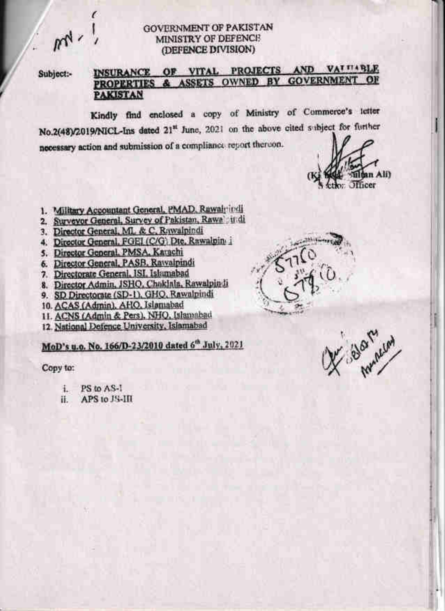m

# **GOVERNMENT OF PAKISTAN** MINISTRY OF DEFENCE (DEFENCE DIVISION)

Subject:-

# INSURANCE OF VITAL PROJECTS AND VALUABLE PROPERTIES & ASSETS OWNED BY GOVERNMENT OF **PAKISTAN**

Kindly find enclosed a copy of Ministry of Commerce's letter No.2(48)/2019/NICL-Ins dated 21<sup>st</sup> June, 2021 on the above cited subject for further necessary action and submission of a compliance report thereon.

an Alib **Officer** 

- 1. Military Accountant General, PMAD, Rawairindi
- 2. Surveyor General, Survey of Pakistan, Rawa indi-
- 3. Director General, ML & C, Rawaipindi
- 4. Director General, FGEI (C/G) Dte, Rawalpin i
- 5. Director General, PMSA, Karachi
- 6. Director General, PASB, Rawalpindi
- 7. Directorate General, ISI, Islamabad
- 8. Director Admin, JSHQ, Chaklala, Rawalpindi
- 9. SD Directorate (SD-1), GHQ, Rawalpindi
- 10. ACAS (Admin), AHO, Islamabad
- 11. ACNS (Admin & Pers), NHQ, Islamabad
- 12. National Defence University, Islamabad

MoD's u.o. No. 166/D-23/2010 dated 6th July, 2021

Copy to:

- PS to AS-I 主.
- APS to JS-III Ħ.



Selament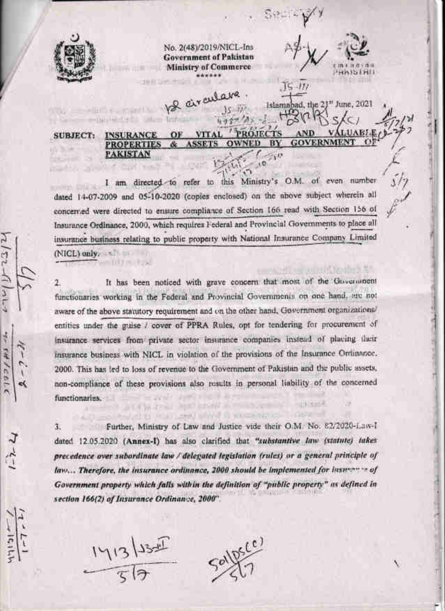

 $4 - 547214$ 

 $-151$ 

constitution in and the

No. 2(48)/2019/NICL-Ins **Government of Pakistan Ministry of Commerce** 

be arculare

HAISIHII

Islamabad, the 21st June, 2021

 $15 - 111$ 

#### PROJECTS **VITAL** OF **INSURANCE SUBJECT:**  $\alpha$ **GOVERNMENT** OWNED BY **PROPERTIES PAKISTAN**

I am directed to refer to this Ministry's O.M. of even number dated 14-07-2009 and 05-10-2020 (copies enclosed) on the above subject wherein all concerned were directed to ensure compliance of Section 166 read with Section 156 of Insurance Ordinance, 2000, which requires Federal and Provincial Governments to place all insurance business relating to public property with National Insurance Company Limited  $(NICL)$  only,  $\sim$ 

It has been noticed with grave concern that most of the Government 2. functionaries working in the Federal and Provincial Governments on one hand, are not aware of the above statutory requirement and on the other hand, Government organizations/ entities under the guise / cover of PPRA Rules, opt for tendering for procurement of insurance services from private sector insurance companies instead of placing their insurance business with NICL in violation of the provisions of the Insurance Ortinance, 2000. This has led to loss of revenue to the Government of Pakistan and the public assets, non-compliance of these provisions also results in personal liability of the concerned functionaries. **TRINING** 

Further, Ministry of Law and Justice vide their O.M. No. 82/2020-Law-T 3. dated 12.05.2020 (Annex-I) has also clarified that "substantive law (statute) takes precedence over subordinate law / delegated legislation (rules) or a general principle of law... Therefore, the insurance ordinance, 2000 should be implemented for insurance of Government property which falls within the definition of "public property" as defined in section 166(2) of Insurance Ordinance, 2000".

HALLMART IS WELD MAY C

 $\frac{1413}{56}$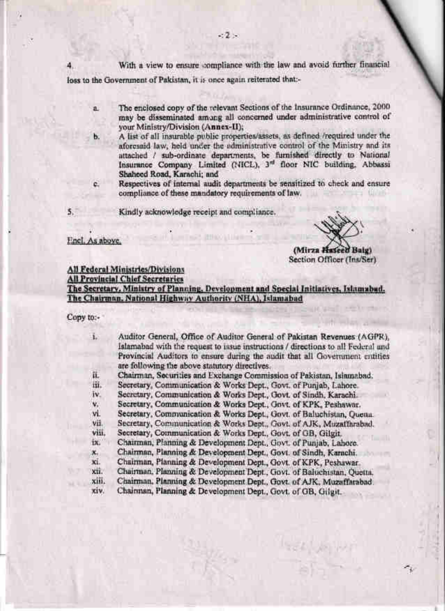With a view to ensure compliance with the law and avoid further financial loss to the Government of Pakistan, it is once again reiterated that:-

- The enclosed copy of the relevant Sections of the Insurance Ordinance, 2000. a. may be disseminated among all concerned under administrative control of your Ministry/Division (Annex-II);
	- A list of all insurable public properties/assets, as defined /required under the aforesaid law, held under the administrative control of the Ministry and its attached / sub-ordinate departments, be furnished directly to National Insurance Company Limited (NICL), 3<sup>rd</sup> floor NIC building, Abbassi Shaheed Road, Karachi; and
	- Respectives of internal audit departments be sensitized to check and ensure compliance of these mandatory requirements of law.

Kindly acknowledge receipt and compliance.

## Encl. As above

 $5.$ 

Ъ.

c.

(Mirza Hascell Baig) Section Officer (Ins/Ser)

# All Federal Ministries/Divisions

**All Provincial Chief Secretaries** 

The Secretary, Ministry of Planning, Development and Special Initiatives, Islamabad. The Chairman, National Highway Authority (NHA), Islamabad

**JENNIO LI LIGHT** 

### Copy to:-

**MAY** 

| ī.    | Auditor General, Office of Auditor General of Pakistan Revenues (AGPR),          |
|-------|----------------------------------------------------------------------------------|
|       | Islamabad with the request to issue instructions / directions to all Federal and |
|       | Provincial Auditors to ensure during the audit that all Government entities      |
|       | are following the above statutory directives.                                    |
| îi.   | Chairman, Securities and Exchange Commission of Pakistan, Islamabad.             |
| iii.  | Secretary, Communication & Works Dept., Govt. of Punjab, Lahore.                 |
| ī٧.   | Secretary, Communication & Works Dept., Govt. of Sindh, Karachi.                 |
| v.    | Secretary, Communication & Works Dept., Govt. of KPK, Peshawar.                  |
| vi.   | Secretary, Communication & Works Dept., Govt. of Baluchistan, Quena.             |
| vii.  | Secretary, Communication & Works Dept., Govt. of AJK, Muzaffarabad.              |
| viii. | Secretary, Communication & Works Dept., Govt. of GB, Gilgit.                     |
| tx.   | Chairman, Planning & Development Dept., Govt. of Punjab, Lahore.                 |
| x.    | Chairman, Planning & Development Dept., Govt. of Sindh, Karachi.                 |
| xi.   | Chairman, Planning & Development Dept., Govt. of KPK, Peshawar.                  |
| xü.   | Chairman, Planning & Development Dept., Govt. of Baiuchistan, Quetta.            |
| xiii. | Chairman, Planning & Development Dept., Govt. of AJK, Muzaffarabad.              |
| xiv.  | Chairman, Planning & Development Dept., Govt. of GB, Gilgit.                     |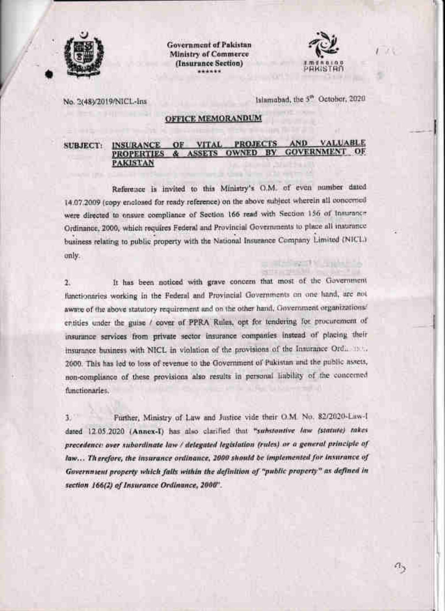

**Government of Pakistan Ministry of Commerce** (Insurance Section)



a,

No. 2(48)/2019/NICL-Ins.

Islamabad, the 5<sup>th</sup> October, 2020.

# **OFFICE MEMORANDUM**

#### **VALUABLE** AND **PROJECTS INSURANCE** OF **VITAL SUBJECT: GOVERNMENT OF OWNED BY PROPERTIES ASSETS PAKISTAN**

Reference is invited to this Ministry's O.M. of even number dated 14.07.2009 (copy enclosed for ready reference) on the above subject wherein all concerned were directed to onsure compliance of Section 166 read with Section 156 of Insurance Ordinance, 2000, which requires Federal and Provincial Governments to place all insurance business relating to public property with the National Insurance Company Limited (NICL) only.

It has been noticed with grave concern that most of the Government  $2.$ functionaries working in the Federal and Provincial Governments on one hand, are not aware of the above statutory requirement and on the other hand, Government organizations' entities under the guise / cover of PPRA Rules, opt for tendering for procurement of insurance services from private sector insurance companies instead of placing their insurance business with NICL in violation of the provisions of the Insurance Ordinate. 2000. This has led to loss of revenue to the Government of Pukistan and the public assets, non-compliance of these provisions also results in personal liability of the concerned functionaries.

 $1$ Further, Ministry of Law and Justice vide their O.M. No. 82/2620-Law-I dated 12.05.2020 (Annex-I) has also clarified that "substantive law (statute) takes precedence over subordinate law / delegated legislation (rules) or a general principle of law... Therefore, the insurance ordinance, 2000 should be implemented for insurance of Government property which falls within the definition of "public property" as defined in section 166(2) of Insurance Ordinance, 2000".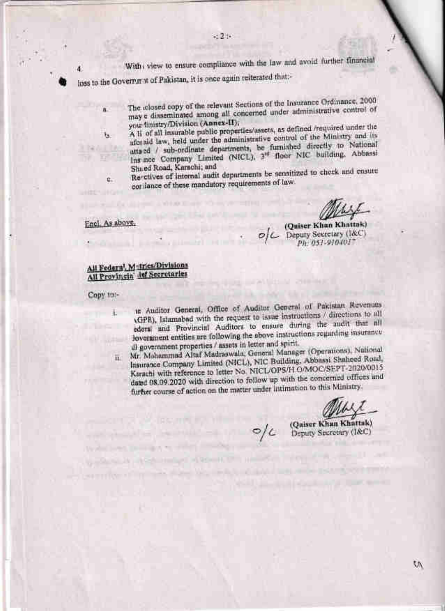With view to ensure compliance with the law and avoid further financial

loss to the Governmat of Pakistan, it is once again reiterated that:-

- The relosed copy of the relevant Sections of the Insurance Ordinance, 2000 may a disseminated among all concerned under administrative control of your finistry/Division (Annex-II);
- A li of all insurable public properties/assets, as defined /required under the aforaid law, held under the administrative control of the Ministry and its atta ed / sub-ordinate departments, be furnished directly to National Ins nee Company Limited (NICL), 3<sup>rd</sup> floor NIC building. Abbassi Shaed Road, Karachi; and

Re-ctives of internal audit departments be sensitized to check and ensure coriance of these mandatory requirements of law.

(Quiser Khan Khattak)  $O/C$  Deputy Secretary (1&C) Ph. 051-910401"

# All Federal, Matrics/Divisions All Provincia' lef Secretaries

Copy to:-

4

 $\overline{\mathbf{a}}$ 

Tw.

 $\hat{\mathbf{U}}_n$ 

Encl. As above.

- in Auditor General, Office of Auditor General of Pakistan Revenues (GPR), Islamabad with the request to issue instructions / directions to all ederal and Provincial Auditors to ensure during the audit that all Jovernment entities are following the above instructions regarding insurance ill government properties / assets in letter and spirit.
- Mr. Mahammad Altaf Madraswala, General Manager (Operations), National Insurance Company Limited (NICL), NIC Building, Abbassi Shaheed Road, HL. Karachi with reference to letter No. NICL/OPS/H O/MOC/SEPT-2020/0015 dated 08.09.2020 with direction to follow up with the concerned offices and further course of action on the matter under intimation to this Ministry.

(Quiser Khan Khattak) O/C Deputy Secretary (I&C)

t۸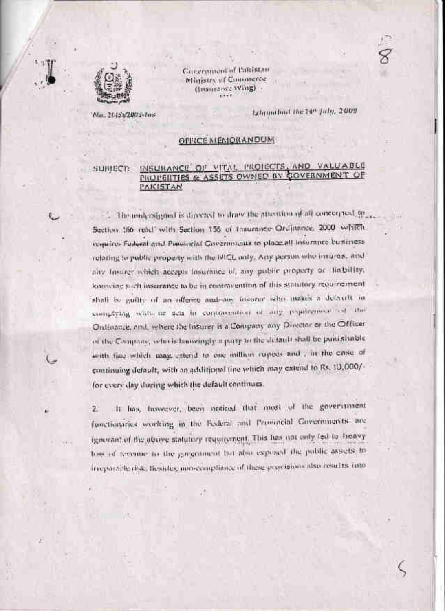

Covernment of Patristan Ministry of Commerce (Insurance Wing)

'Na. 20151/2009-1ns

Islaunthal the 14th July, 2009

# OFFICE MEMORANDUM

SUBJECT:

# INSURANCE OF VITAL PROJECTS, AND VALUABLE PROPERTIES & ASSETS OWNED BY COVERNMENT OF **PAKISTAN**

. The nedyrsigned is directed to draw the attention of all concerport to Section 166 read with Section 156 of Insurance Ordinance, 2000 which requires Fuderal and Panaliteial Governments to place all informate business relating to public property with the NICL only. Any person who insures, and any Insurer which accepts Insurance of, any public property or liability, konscing such insurance to be in contravention of this statutory requirement. shall be guilty of an offerer and any insurar who makes a deficult in samplying with or sets in contravention of any psychomole as the Ontirance, and, where the Insurer is a Company any Director or the Officer of the Company, who is farowingly a party to the default shall be punishable with fine which may extend to one million rupees and , in the case of continuing default, with an additional tine which may extend to Rs. 10,000/for every day during which the default continues.

It has however, been ooticed that most of the government  $\mathbf{z}$ functionaries working in the Ecderal and Provincial Covernments are ignorant of the above statutory requirement. This has not only ted to heavy loss of receive to the government but also exposed the public assets to irreportion risk, liesides, non-compliance of these provisions also results into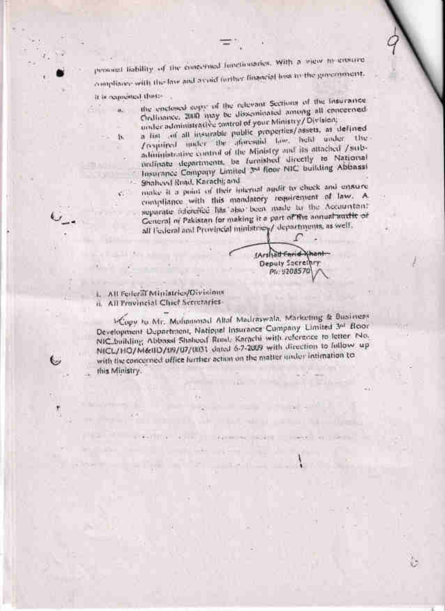personal liability of the emectand functionaries, with a view in gustine compliance with the law and avoid further financial loss to the government.

it is requested that -

ä.

B.

 $\mathcal{C}_{\mathcal{A}}$ 

O

the enclosed eagle of the relevant Sections of the Insurance. Ordinance, 2010 may be disseminated among all enneerned under administrative antrol of your Ministry/Division.

a list of all insurable public properties/assets, as defined Proprieed under the aforesaid taw, held under the administrative control of the Ministry and its attached /subindinate departments, be furnished directly to National Insurance Company Limited 3% floor NIC building Abbassi Shaheed Road, Karachi; and

make it a point of their internal agulit to chuck and ensure compliance with this mandatory requirement of law. A separate reference has also been made to the Accountant General of Pakistan for making it a part of the annual auxilit of all Federal and Provincial ministries/ departments, as well.

> (Arshalt Farid-Khant Deputy Sacrethry Ph: 9208570

L. All Federal Ministries/Oivisions ii. All Provincial Chief Secretaries-

<sup>1-Copy</sup> to Mr. Mulmonad Altal Madraswala, Marketing & Business Development Department, National Insurance Company Limited 3nd floor NIC building Abbassi Shaheed Rand, Karachi with reference to letter No. NICL/HO/MedID/U9/07/0031 dated 6-7-2009 with direction to follow up with the concerned office further action on the matter under intimation to this Ministry.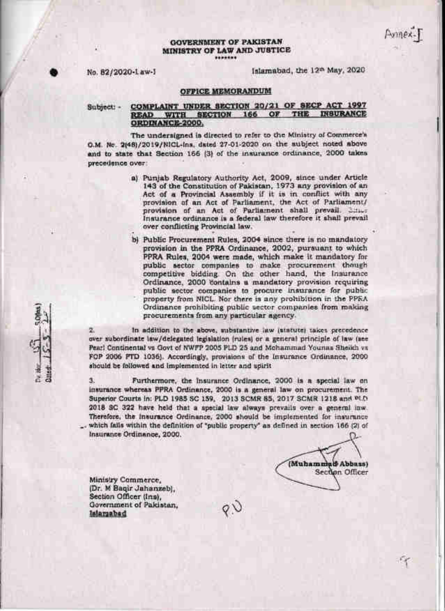#### **GOVERNMENT OF PAKISTAN** MINISTRY OF LAW AND JUSTICE \*\*\*\*\*\*\*

No. 82/2020-Law-I

Islamabad, the 12th May, 2020.

### OFFICE MEMORANDUM

Subject: -

#### COMPLAINT UNDER SECTION 20/21 OF SECP ACT 1997 INSURANCE WITH SECTION 166 OF THE **READ** ORDINANCE-2000,

The undersigned is directed to refer to the Ministry of Commerce's O.M. Ne. 2(48)/2019/NICL-ins. dated 27-01-2020 on the subject noted above and to state that Section 166 (3) of the insurance ordinance, 2000 tales precedence over:

- a) Punjab Regulatory Authority Act, 2009, since under Article 143 of the Constitution of Pakistan, 1973 any provision of an Act of a Provincial Assembly if it is in conflict with any provision of an Act of Parliament, the Act of Parliament/ provision of an Act of Parliament shall prevail. Since Insurance ordinance is a federal law therefore it shall prevail over conflicting Provincial law.
- b) Public Procurement Rules, 2004 since there is no mandatory provision in the PPRA Ordinance, 2002, pursuant to which PPRA Rules, 2004 were made, which make it mandatory for public sector companies to make procurement though<br>competitive bidding. On the other hand, the insurance Ordinance, 2000 contains a mandatory provision requiring public sector companies to procure insurance for public property from NICL. Nor there is any prohibition in the PPRA Ordinance prohibiting public sector companies from making procurements from any particular agency.

In addition to the above, substantive law (statute) takes precedence over subordinate law/delegated legislation (rules) or a general principle of law (see Pearl Continental vs Govt of NWFP 2005 PLD 25 and Mchammad Younas Sheikh vs FOP 2006 PTD 1036). Accordingly, provisions of the Insurance Ordinance, 2000 should be followed and implemented in letter and upirit

3. Furthermore, the Insurance Ordinance, 2000 is a special law on insurance whereas PPRA Ordinance, 2000 is a general law on procurement. The Superior Courts in: PLD 1985 SC 159, 2013 SCMR 85, 2017 SCMR 1218 and PLD 2018 SC 322 have held that a special law always prevails over a general law. Therefore, the insurance Ordinance, 2000 should be implemented for insurance which falls within the definition of "public property" as defined in section 166 (2) of Insurance Ordinance, 2000.

(Muhamm *<i><u>BAbbassi</u>* Section Officer

Ministry Commerce, (Dr. M Baqir Jahanzeb), Section Officer (Ins), Government of Pakistan, Islamabad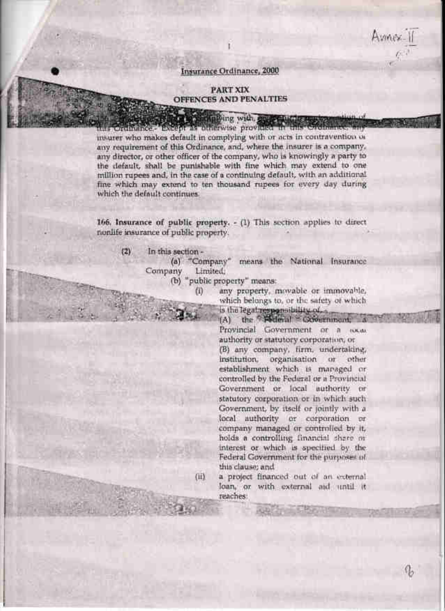Amnex-11

## Insurance Ordinance, 2000

# PART XIX OFFENCES AND PENALTIES

**The State of Street, and Street, and Street, and Street, and Street, and Street, and Street, and Street, and Street, and Street, and Street, and Street, and Street, and Street, and Street, and Street, and Street, and Stre** insurer who makes default in complying with or acts in contravention of any requirement of this Ordinance, and, where the insurer is a company. any director, or other officer of the company, who is knowingly a party to the default, shall be punishable with fine which may extend to one million rupees and, in the case of a continuing default, with an additional fine which may extend to ten thousand rupees for every day during which the default continues.

166, Insurance of public property. - (1) This section applies to direct nonlife insurance of public property.

 $(2)$ In this section -

> (a) "Company" means the National Insurance Company Limited,<br>
> (b) "public property" means:

 $(ii)$ 

any property, movable or immovable, which belongs to, or the safety of which is the legal responsibility of a

(A) the **Foderal** Covernment, Provincial Government or a rocal authority or statutory corporation, or (B) any company, firm, undertaking, organisation or other institution. establishment which is managed or controlled by the Federal or a Provincial Government or local authority or statutory corporation or in which such Government, by itself or jointly with a local authority or corporation or<br>company managed or controlled by it, holds a controlling financial share or interest or which is specified by the Federal Government for the purposes of this clause; and

a project financed out of an external. loan, or with external aid until it reaches: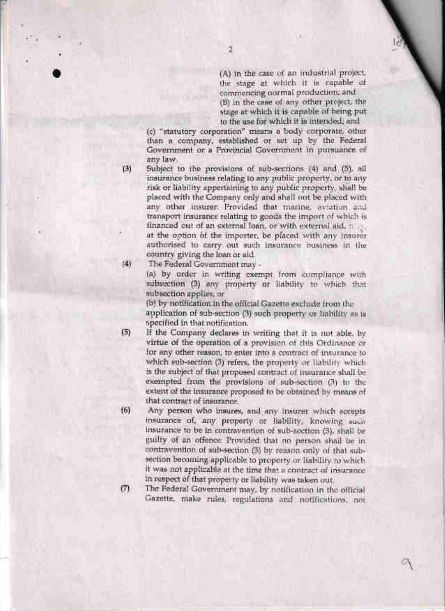(A) in the case of an industrial project, the stage at which it is capable of commencing normal production; and (B) in the case of any other project, the stage at which it is capable of being put to the use for which it is intended; and

(c) "statutory corporation" means a body corporate, other than a company, established or set up by the Federal Government or a Provincial Government in pursuance of any law.

 $\alpha$ 

 $(3)$ 

 $(4)$ 

Subject to the provisions of sub-sections (4) and (5), all insurance business relating to any public property, or to any risk or liability appertaining to any public property, shall be placed with the Company only and shall not be placed with any other insurer: Provided that marine, aviation and transport insurance relating to goods the import of which is financed out of an external loan, or with external aid, needat the option of the importer, be placed with any insuror.

authorised to carry out such insurance business in the country giving the loan or aid.

The Federal Government may -

(a) by order in writing exempt from compliance with subsection (3) any property or liability to which that subsection applies; or

(b) by notification in the official Gazette exclude from the

application of sub-section (3) such property or liability as is specified in that notification.

 $(5)$ If the Company declares in writing that it is not able, by virtue of the operation of a provision of this Ordinance or for any other reason, to enter into a contract of insurance to which sub-section (3) refers, the property or liability which is the subject of that proposed contract of insurance shall be exempted from the provisions of sub-section (3) to the extent of the insurance proposed to be obtained by means of that contract of insurance.

Any person who insures, and any insurer which accepts  $f5$ insurance of, any property or liability, knowing such insurance to be in contravention of sub-section (3), shall be guilty of an offence: Provided that no person shall be in contravention of sub-section (3) by reason only of that subsection becoming applicable to property or liability to which it was not applicable at the time that a contract of insurance in respect of that property or liability was taken out.

 $(7)$ The Federal Government may, by notification in the official Gazette, make rules, regulations and notifications, not